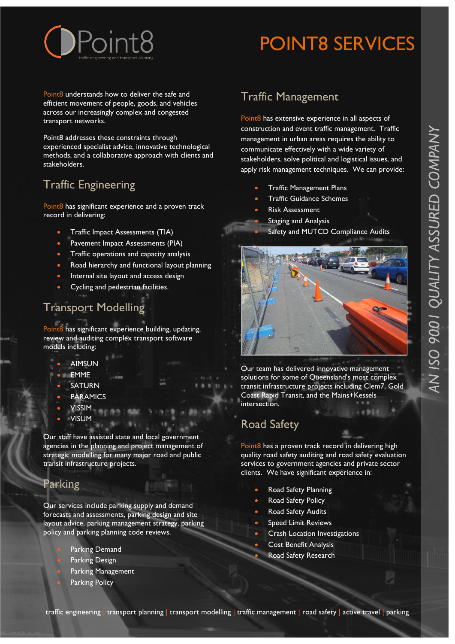

# POINT8 SERVICES

Point8 understands how to deliver the safe and efficient movement of people, goods, and vehicles across our increasingly complex and congested transport networks.

Point8 addresses these constraints through experienced specialist advice, innovative technological methods, and a collaborative approach with clients and stakeholders.

## Traffic Engineering

Point8 has significant experience and a proven track record in delivering:

- Traffic Impact Assessments (TIA)
- Pavement Impact Assessments (PIA)
- Traffic operations and capacity analysis
- Road hierarchy and functional layout planning
- Internal site layout and access design
- Cycling and pedestrian facilities.

## Transport Modelling

Point8 has significant experience building, updating, review and auditing complex transport software models including:

- AIMSUN
- EMME
- SATURN
- PARAMICS
- VISSIM
- VISUM

Our staff have assisted state and local government agencies in the planning and project management of strategic modelling for many major road and public transit infrastructure projects.

#### Parking

Our services include parking supply and demand forecasts and assessments, parking design and site layout advice, parking management strategy, parking policy and parking planning code reviews.

- Parking Demand
- Parking Design
- Parking Management
- Parking Policy

## Traffic Management

Point8 has extensive experience in all aspects of construction and event traffic management. Traffic management in urban areas requires the ability to communicate effectively with a wide variety of stakeholders, solve political and logistical issues, and apply risk management techniques. We can provide:

- Traffic Management Plans
- Traffic Guidance Schemes
- Risk Assessment
	- Staging and Analysis
		- Safety and MUTCD Compliance Audits



Our team has delivered innovative management solutions for some of Queensland's most complex transit infrastructure projects including Clem7, Gold Coast Rapid Transit, and the Mains+Kessels intersection.

### Road Safety

Point8 has a proven track record in delivering high quality road safety auditing and road safety evaluation services to government agencies and private sector clients. We have significant experience in:

- Road Safety Planning
- Road Safety Policy
- Road Safety Audits
- Speed Limit Reviews
- Crash Location Investigations
- Cost Benefit Analysis
- Road Safety Research